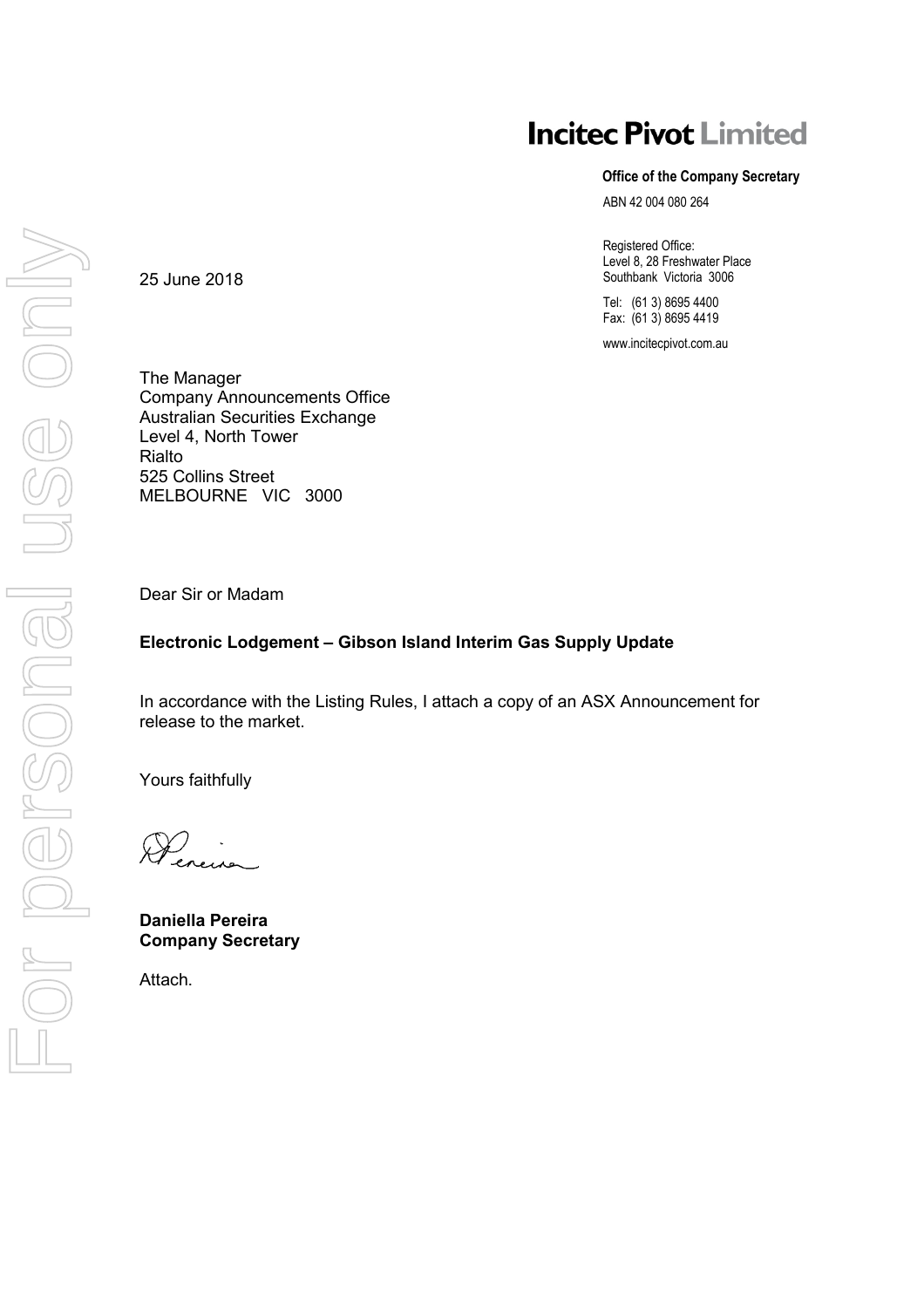## **Incitec Pivot Limited**

#### **Office of the Company Secretary**

ABN 42 004 080 264

Registered Office: Level 8, 28 Freshwater Place Southbank Victoria 3006

Tel: (61 3) 8695 4400 Fax: (61 3) 8695 4419

www.incitecpivot.com.au

The Manager Company Announcements Office Australian Securities Exchange Level 4, North Tower Rialto 525 Collins Street MELBOURNE VIC 3000

Dear Sir or Madam

25 June 2018

#### **Electronic Lodgement – Gibson Island Interim Gas Supply Update**

In accordance with the Listing Rules, I attach a copy of an ASX Announcement for release to the market.

Yours faithfully

).<br>eneures

**Daniella Pereira Company Secretary** 

Attach.